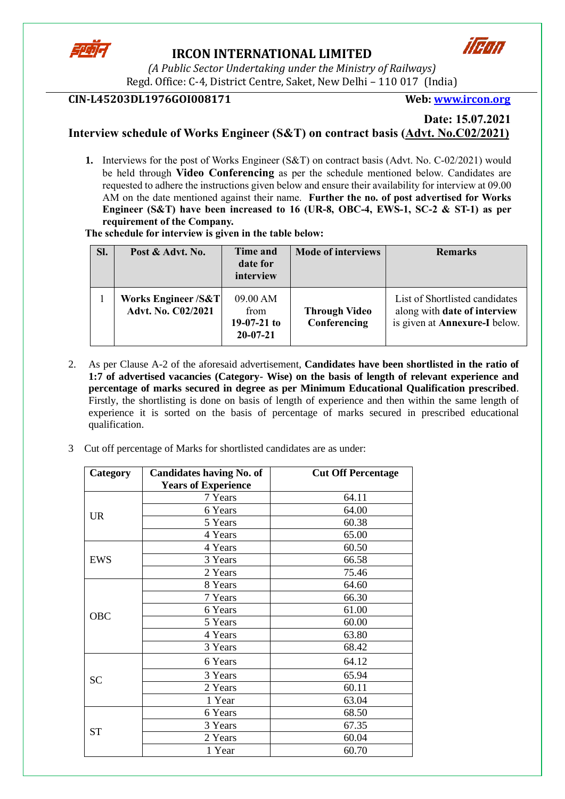

# **IRCON INTERNATIONAL LIMITED**



*(A Public Sector Undertaking under the Ministry of Railways)* Regd. Office: C-4, District Centre, Saket, New Delhi – 110 017 (India)

# **CIN-L45203DL1976GOI008171 Web: [www.ircon.org](http://www.ircon.org/)**

### **Date: 15.07.2021 Interview schedule of Works Engineer (S&T) on contract basis (Advt. No.C02/2021)**

**1.** Interviews for the post of Works Engineer (S&T) on contract basis (Advt. No. C-02/2021) would be held through **Video Conferencing** as per the schedule mentioned below. Candidates are requested to adhere the instructions given below and ensure their availability for interview at 09.00 AM on the date mentioned against their name. **Further the no. of post advertised for Works Engineer (S&T) have been increased to 16 (UR-8, OBC-4, EWS-1, SC-2 & ST-1) as per** 

**requirement of the Company. The schedule for interview is given in the table below:**

| Sl. | Post & Advt. No.                           | Time and<br>date for<br>interview                   | <b>Mode of interviews</b>            | <b>Remarks</b>                                                                                         |
|-----|--------------------------------------------|-----------------------------------------------------|--------------------------------------|--------------------------------------------------------------------------------------------------------|
|     | Works Engineer /S&T <br>Advt. No. C02/2021 | 09.00 AM<br>from<br>$19-07-21$ to<br>$20 - 07 - 21$ | <b>Through Video</b><br>Conferencing | List of Shortlisted candidates<br>along with date of interview<br>is given at <b>Annexure-I</b> below. |

- 2. As per Clause A-2 of the aforesaid advertisement, **Candidates have been shortlisted in the ratio of 1:7 of advertised vacancies (Category- Wise) on the basis of length of relevant experience and percentage of marks secured in degree as per Minimum Educational Qualification prescribed**. Firstly, the shortlisting is done on basis of length of experience and then within the same length of experience it is sorted on the basis of percentage of marks secured in prescribed educational qualification.
- 3 Cut off percentage of Marks for shortlisted candidates are as under:

| Category  | <b>Candidates having No. of</b> | <b>Cut Off Percentage</b> |
|-----------|---------------------------------|---------------------------|
|           | <b>Years of Experience</b>      |                           |
|           | 7 Years                         | 64.11                     |
| <b>UR</b> | 6 Years                         | 64.00                     |
|           | 5 Years                         | 60.38                     |
|           | 4 Years                         | 65.00                     |
|           | 4 Years                         | 60.50                     |
| EWS       | 3 Years                         | 66.58                     |
|           | 2 Years                         | 75.46                     |
|           | 8 Years                         | 64.60                     |
|           | 7 Years                         | 66.30                     |
| OBC       | 6 Years                         | 61.00                     |
|           | 5 Years                         | 60.00                     |
|           | 4 Years                         | 63.80                     |
|           | 3 Years                         | 68.42                     |
|           | 6 Years                         | 64.12                     |
| <b>SC</b> | 3 Years                         | 65.94                     |
|           | 2 Years                         | 60.11                     |
|           | 1 Year                          | 63.04                     |
|           | 6 Years                         | 68.50                     |
| <b>ST</b> | 3 Years                         | 67.35                     |
|           | 2 Years                         | 60.04                     |
|           | 1 Year                          | 60.70                     |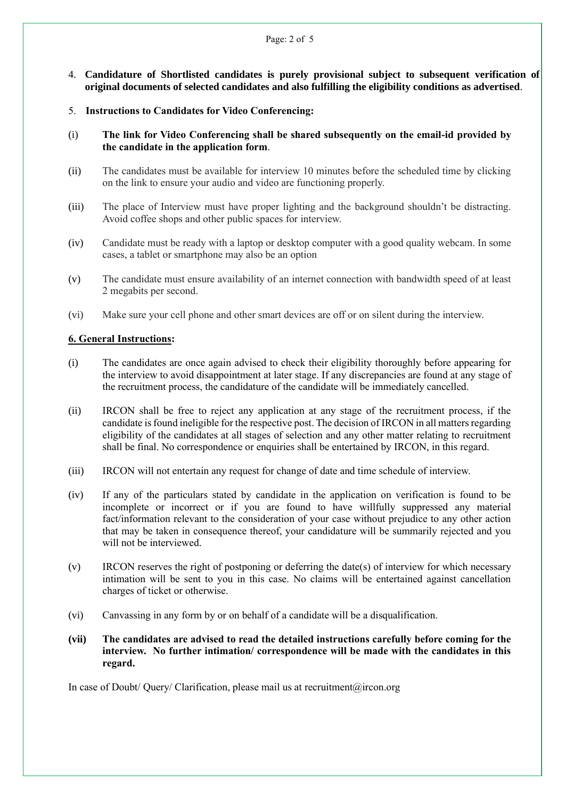- 4. **Candidature of Shortlisted candidates is purely provisional subject to subsequent verification of original documents of selected candidates and also fulfilling the eligibility conditions as advertised**.
- 5. **Instructions to Candidates for Video Conferencing:**
- (i) **The link for Video Conferencing shall be shared subsequently on the email-id provided by the candidate in the application form**.
- (ii) The candidates must be available for interview 10 minutes before the scheduled time by clicking on the link to ensure your audio and video are functioning properly.
- (iii) The place of Interview must have proper lighting and the background shouldn't be distracting. Avoid coffee shops and other public spaces for interview.
- (iv) Candidate must be ready with a laptop or desktop computer with a good quality webcam. In some cases, a tablet or smartphone may also be an option
- (v) The candidate must ensure availability of an internet connection with bandwidth speed of at least 2 megabits per second.
- (vi) Make sure your cell phone and other smart devices are off or on silent during the interview.

#### **6. General Instructions:**

- (i) The candidates are once again advised to check their eligibility thoroughly before appearing for the interview to avoid disappointment at later stage. If any discrepancies are found at any stage of the recruitment process, the candidature of the candidate will be immediately cancelled.
- (ii) IRCON shall be free to reject any application at any stage of the recruitment process, if the candidate is found ineligible for the respective post. The decision of IRCON in all matters regarding eligibility of the candidates at all stages of selection and any other matter relating to recruitment shall be final. No correspondence or enquiries shall be entertained by IRCON, in this regard.
- (iii) IRCON will not entertain any request for change of date and time schedule of interview.
- (iv) If any of the particulars stated by candidate in the application on verification is found to be incomplete or incorrect or if you are found to have willfully suppressed any material fact/information relevant to the consideration of your case without prejudice to any other action that may be taken in consequence thereof, your candidature will be summarily rejected and you will not be interviewed.
- (v) IRCON reserves the right of postponing or deferring the date(s) of interview for which necessary intimation will be sent to you in this case. No claims will be entertained against cancellation charges of ticket or otherwise.
- (vi) Canvassing in any form by or on behalf of a candidate will be a disqualification.
- **(vii) The candidates are advised to read the detailed instructions carefully before coming for the interview. No further intimation/ correspondence will be made with the candidates in this regard.**

In case of Doubt/ Query/ Clarification, please mail us at recruitment@ircon.org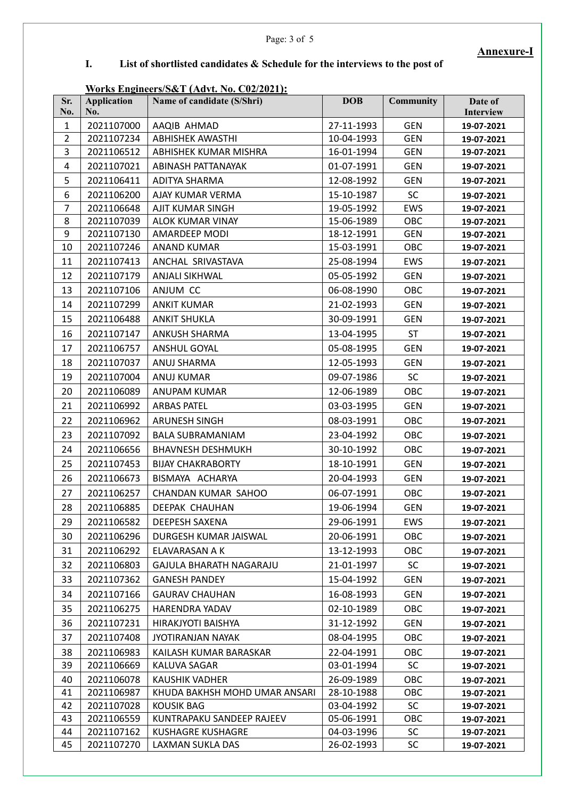#### Page: 3 of 5

# **Annexure-I**

**I. List of shortlisted candidates & Schedule for the interviews to the post of** 

## **Works Engineers/S&T (Advt. No. C02/2021):**

| Sr.<br>No.     | <b>Application</b><br>No. | Name of candidate (S/Shri)     | <b>DOB</b> | <b>Community</b> | Date of<br>Interview |
|----------------|---------------------------|--------------------------------|------------|------------------|----------------------|
| $\mathbf{1}$   | 2021107000                | AAQIB AHMAD                    | 27-11-1993 | <b>GEN</b>       | 19-07-2021           |
| $\overline{2}$ | 2021107234                | <b>ABHISHEK AWASTHI</b>        | 10-04-1993 | <b>GEN</b>       | 19-07-2021           |
| 3              | 2021106512                | ABHISHEK KUMAR MISHRA          | 16-01-1994 | <b>GEN</b>       | 19-07-2021           |
| 4              | 2021107021                | ABINASH PATTANAYAK             | 01-07-1991 | <b>GEN</b>       | 19-07-2021           |
| 5              | 2021106411                | ADITYA SHARMA                  | 12-08-1992 | <b>GEN</b>       | 19-07-2021           |
| 6              | 2021106200                | AJAY KUMAR VERMA               | 15-10-1987 | SC               | 19-07-2021           |
| $\overline{7}$ | 2021106648                | AJIT KUMAR SINGH               | 19-05-1992 | EWS              | 19-07-2021           |
| 8              | 2021107039                | <b>ALOK KUMAR VINAY</b>        | 15-06-1989 | OBC              | 19-07-2021           |
| 9              | 2021107130                | AMARDEEP MODI                  | 18-12-1991 | <b>GEN</b>       | 19-07-2021           |
| 10             | 2021107246                | <b>ANAND KUMAR</b>             | 15-03-1991 | OBC              | 19-07-2021           |
| 11             | 2021107413                | ANCHAL SRIVASTAVA              | 25-08-1994 | EWS              | 19-07-2021           |
| 12             | 2021107179                | <b>ANJALI SIKHWAL</b>          | 05-05-1992 | <b>GEN</b>       | 19-07-2021           |
| 13             | 2021107106                | ANJUM CC                       | 06-08-1990 | OBC              | 19-07-2021           |
| 14             | 2021107299                | <b>ANKIT KUMAR</b>             | 21-02-1993 | <b>GEN</b>       | 19-07-2021           |
| 15             | 2021106488                | <b>ANKIT SHUKLA</b>            | 30-09-1991 | <b>GEN</b>       | 19-07-2021           |
| 16             | 2021107147                | <b>ANKUSH SHARMA</b>           | 13-04-1995 | <b>ST</b>        | 19-07-2021           |
| 17             | 2021106757                | ANSHUL GOYAL                   | 05-08-1995 | <b>GEN</b>       | 19-07-2021           |
| 18             | 2021107037                | <b>ANUJ SHARMA</b>             | 12-05-1993 | <b>GEN</b>       | 19-07-2021           |
| 19             | 2021107004                | ANUJ KUMAR                     | 09-07-1986 | <b>SC</b>        | 19-07-2021           |
| 20             | 2021106089                | ANUPAM KUMAR                   | 12-06-1989 | OBC              | 19-07-2021           |
| 21             | 2021106992                | <b>ARBAS PATEL</b>             | 03-03-1995 | <b>GEN</b>       | 19-07-2021           |
| 22             | 2021106962                | <b>ARUNESH SINGH</b>           | 08-03-1991 | OBC              | 19-07-2021           |
| 23             | 2021107092                | <b>BALA SUBRAMANIAM</b>        | 23-04-1992 | OBC              | 19-07-2021           |
| 24             | 2021106656                | <b>BHAVNESH DESHMUKH</b>       | 30-10-1992 | OBC              | 19-07-2021           |
| 25             | 2021107453                | <b>BIJAY CHAKRABORTY</b>       | 18-10-1991 | <b>GEN</b>       | 19-07-2021           |
| 26             | 2021106673                | BISMAYA ACHARYA                | 20-04-1993 | <b>GEN</b>       | 19-07-2021           |
| 27             | 2021106257                | CHANDAN KUMAR SAHOO            | 06-07-1991 | OBC              | 19-07-2021           |
| 28             | 2021106885                | DEEPAK CHAUHAN                 | 19-06-1994 | <b>GEN</b>       | 19-07-2021           |
| 29             | 2021106582                | DEEPESH SAXENA                 | 29-06-1991 | EWS              | 19-07-2021           |
| 30             | 2021106296                | DURGESH KUMAR JAISWAL          | 20-06-1991 | OBC              | 19-07-2021           |
| 31             | 2021106292                | ELAVARASAN A K                 | 13-12-1993 | OBC              | 19-07-2021           |
| 32             | 2021106803                | <b>GAJULA BHARATH NAGARAJU</b> | 21-01-1997 | <b>SC</b>        | 19-07-2021           |
| 33             | 2021107362                | <b>GANESH PANDEY</b>           | 15-04-1992 | <b>GEN</b>       | 19-07-2021           |
| 34             | 2021107166                | <b>GAURAV CHAUHAN</b>          | 16-08-1993 | <b>GEN</b>       | 19-07-2021           |
| 35             | 2021106275                | <b>HARENDRA YADAV</b>          | 02-10-1989 | <b>OBC</b>       | 19-07-2021           |
| 36             | 2021107231                | HIRAKJYOTI BAISHYA             | 31-12-1992 | <b>GEN</b>       | 19-07-2021           |
| 37             | 2021107408                | <b>JYOTIRANJAN NAYAK</b>       | 08-04-1995 | <b>OBC</b>       | 19-07-2021           |
| 38             | 2021106983                | KAILASH KUMAR BARASKAR         | 22-04-1991 | <b>OBC</b>       | 19-07-2021           |
| 39             | 2021106669                | KALUVA SAGAR                   | 03-01-1994 | <b>SC</b>        | 19-07-2021           |
| 40             | 2021106078                | <b>KAUSHIK VADHER</b>          | 26-09-1989 | OBC              | 19-07-2021           |
| 41             | 2021106987                | KHUDA BAKHSH MOHD UMAR ANSARI  | 28-10-1988 | OBC              | 19-07-2021           |
| 42             | 2021107028                | KOUSIK BAG                     | 03-04-1992 | <b>SC</b>        | 19-07-2021           |
| 43             | 2021106559                | KUNTRAPAKU SANDEEP RAJEEV      | 05-06-1991 | OBC              | 19-07-2021           |
| 44             | 2021107162                | KUSHAGRE KUSHAGRE              | 04-03-1996 | <b>SC</b>        | 19-07-2021           |
| 45             | 2021107270                | LAXMAN SUKLA DAS               | 26-02-1993 | <b>SC</b>        | 19-07-2021           |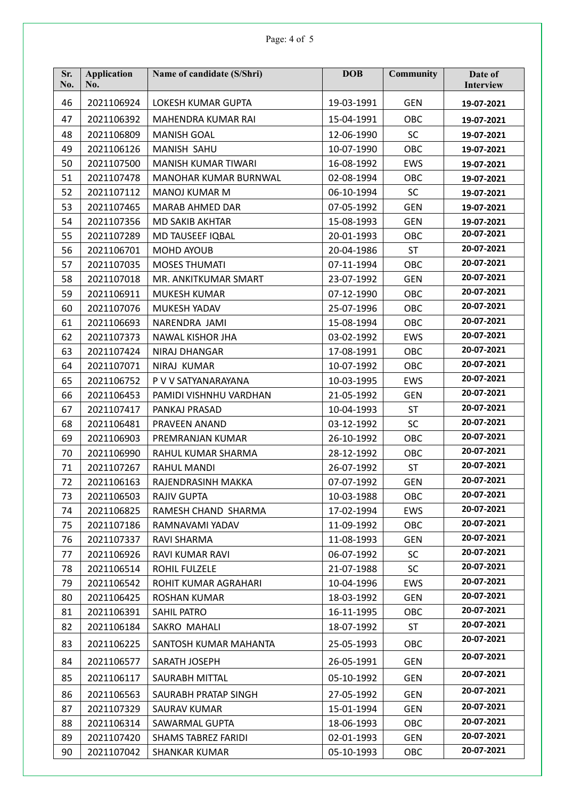| Sr.<br>No. | Application<br>No. | Name of candidate (S/Shri) | <b>DOB</b> | <b>Community</b> | Date of<br>Interview |
|------------|--------------------|----------------------------|------------|------------------|----------------------|
| 46         | 2021106924         | LOKESH KUMAR GUPTA         | 19-03-1991 | <b>GEN</b>       | 19-07-2021           |
| 47         | 2021106392         | MAHENDRA KUMAR RAI         | 15-04-1991 | OBC              | 19-07-2021           |
| 48         | 2021106809         | <b>MANISH GOAL</b>         | 12-06-1990 | <b>SC</b>        | 19-07-2021           |
| 49         | 2021106126         | <b>MANISH SAHU</b>         | 10-07-1990 | OBC              | 19-07-2021           |
| 50         | 2021107500         | <b>MANISH KUMAR TIWARI</b> | 16-08-1992 | EWS              | 19-07-2021           |
| 51         | 2021107478         | MANOHAR KUMAR BURNWAL      | 02-08-1994 | OBC              | 19-07-2021           |
| 52         | 2021107112         | <b>MANOJ KUMAR M</b>       | 06-10-1994 | <b>SC</b>        | 19-07-2021           |
| 53         | 2021107465         | MARAB AHMED DAR            | 07-05-1992 | <b>GEN</b>       | 19-07-2021           |
| 54         | 2021107356         | <b>MD SAKIB AKHTAR</b>     | 15-08-1993 | <b>GEN</b>       | 19-07-2021           |
| 55         | 2021107289         | MD TAUSEEF IQBAL           | 20-01-1993 | OBC              | 20-07-2021           |
| 56         | 2021106701         | <b>MOHD AYOUB</b>          | 20-04-1986 | <b>ST</b>        | 20-07-2021           |
| 57         | 2021107035         | <b>MOSES THUMATI</b>       | 07-11-1994 | OBC              | 20-07-2021           |
| 58         | 2021107018         | MR. ANKITKUMAR SMART       | 23-07-1992 | <b>GEN</b>       | 20-07-2021           |
| 59         | 2021106911         | <b>MUKESH KUMAR</b>        | 07-12-1990 | OBC              | 20-07-2021           |
| 60         | 2021107076         | MUKESH YADAV               | 25-07-1996 | OBC              | 20-07-2021           |
| 61         | 2021106693         | NARENDRA JAMI              | 15-08-1994 | OBC              | 20-07-2021           |
| 62         | 2021107373         | <b>NAWAL KISHOR JHA</b>    | 03-02-1992 | EWS              | 20-07-2021           |
| 63         | 2021107424         | NIRAJ DHANGAR              | 17-08-1991 | OBC              | 20-07-2021           |
| 64         | 2021107071         | NIRAJ KUMAR                | 10-07-1992 | OBC              | 20-07-2021           |
| 65         | 2021106752         | P V V SATYANARAYANA        | 10-03-1995 | EWS              | 20-07-2021           |
| 66         | 2021106453         | PAMIDI VISHNHU VARDHAN     | 21-05-1992 | <b>GEN</b>       | 20-07-2021           |
| 67         | 2021107417         | PANKAJ PRASAD              | 10-04-1993 | <b>ST</b>        | 20-07-2021           |
| 68         | 2021106481         | PRAVEEN ANAND              | 03-12-1992 | <b>SC</b>        | 20-07-2021           |
| 69         | 2021106903         | PREMRANJAN KUMAR           | 26-10-1992 | OBC              | 20-07-2021           |
| 70         | 2021106990         | RAHUL KUMAR SHARMA         | 28-12-1992 | OBC              | 20-07-2021           |
| 71         | 2021107267         | <b>RAHUL MANDI</b>         | 26-07-1992 | <b>ST</b>        | 20-07-2021           |
| 72         | 2021106163         | RAJENDRASINH MAKKA         | 07-07-1992 | <b>GEN</b>       | 20-07-2021           |
| 73         | 2021106503         | RAJIV GUPTA                | 10-03-1988 | OBC              | 20-07-2021           |
| 74         | 2021106825         | RAMESH CHAND SHARMA        | 17-02-1994 | <b>EWS</b>       | 20-07-2021           |
| 75         | 2021107186         | RAMNAVAMI YADAV            | 11-09-1992 | OBC              | 20-07-2021           |
| 76         | 2021107337         | RAVI SHARMA                | 11-08-1993 | <b>GEN</b>       | 20-07-2021           |
| 77         | 2021106926         | RAVI KUMAR RAVI            | 06-07-1992 | <b>SC</b>        | 20-07-2021           |
| 78         | 2021106514         | ROHIL FULZELE              | 21-07-1988 | <b>SC</b>        | 20-07-2021           |
| 79         | 2021106542         | ROHIT KUMAR AGRAHARI       | 10-04-1996 | EWS              | 20-07-2021           |
| 80         | 2021106425         | ROSHAN KUMAR               | 18-03-1992 | <b>GEN</b>       | 20-07-2021           |
| 81         | 2021106391         | SAHIL PATRO                | 16-11-1995 | <b>OBC</b>       | 20-07-2021           |
| 82         | 2021106184         | SAKRO MAHALI               | 18-07-1992 | ST               | 20-07-2021           |
| 83         | 2021106225         | SANTOSH KUMAR MAHANTA      | 25-05-1993 | OBC              | 20-07-2021           |
| 84         | 2021106577         | SARATH JOSEPH              | 26-05-1991 | <b>GEN</b>       | 20-07-2021           |
| 85         | 2021106117         | SAURABH MITTAL             | 05-10-1992 | GEN              | 20-07-2021           |
| 86         | 2021106563         | SAURABH PRATAP SINGH       | 27-05-1992 | <b>GEN</b>       | 20-07-2021           |
| 87         | 2021107329         | SAURAV KUMAR               | 15-01-1994 | <b>GEN</b>       | 20-07-2021           |
| 88         | 2021106314         | SAWARMAL GUPTA             | 18-06-1993 | OBC              | 20-07-2021           |
| 89         | 2021107420         | SHAMS TABREZ FARIDI        | 02-01-1993 | <b>GEN</b>       | 20-07-2021           |
| 90         | 2021107042         | <b>SHANKAR KUMAR</b>       | 05-10-1993 | OBC              | 20-07-2021           |